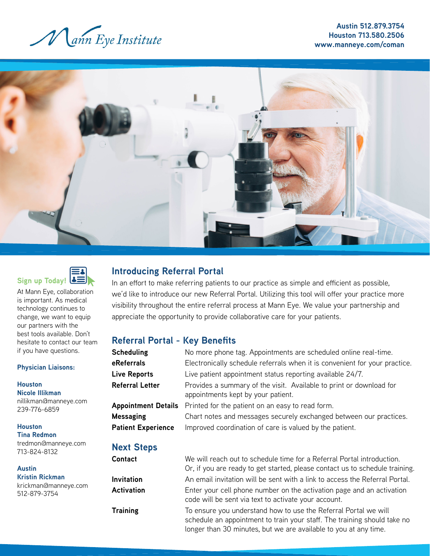

**Austin 512.879.3754 Houston 713.580.2506 www.manneye.com/coman**





At Mann Eye, collaboration is important. As medical technology continues to change, we want to equip our partners with the best tools available. Don't hesitate to contact our team if you have questions.

#### **Physician Liaisons:**

**Houston Nicole Illikman** nillikman@manneye.com 239-776-6859

**Houston Tina Redmon** tredmon@manneye.com 713-824-8132

**Austin Kristin Rickman**

krickman@manneye.com 512-879-3754

# **Introducing Referral Portal**

In an effort to make referring patients to our practice as simple and efficient as possible, we'd like to introduce our new Referral Portal. Utilizing this tool will offer your practice more visibility throughout the entire referral process at Mann Eye. We value your partnership and appreciate the opportunity to provide collaborative care for your patients.

## **Referral Portal - Key Benefits**

| <b>Scheduling</b>                             | No more phone tag. Appointments are scheduled online real-time.                                                               |
|-----------------------------------------------|-------------------------------------------------------------------------------------------------------------------------------|
| eReferrals                                    | Electronically schedule referrals when it is convenient for your practice.                                                    |
| <b>Live Reports</b>                           | Live patient appointment status reporting available 24/7.                                                                     |
| <b>Referral Letter</b>                        | Provides a summary of the visit. Available to print or download for<br>appointments kept by your patient.                     |
|                                               | Appointment Details Printed for the patient on an easy to read form.                                                          |
| <b>Messaging</b><br><b>Patient Experience</b> | Chart notes and messages securely exchanged between our practices.<br>Improved coordination of care is valued by the patient. |
|                                               |                                                                                                                               |

### **Next Steps**

| Contact           | We will reach out to schedule time for a Referral Portal introduction.                                                                                                                                          |
|-------------------|-----------------------------------------------------------------------------------------------------------------------------------------------------------------------------------------------------------------|
|                   | Or, if you are ready to get started, please contact us to schedule training.                                                                                                                                    |
| Invitation        | An email invitation will be sent with a link to access the Referral Portal.                                                                                                                                     |
| <b>Activation</b> | Enter your cell phone number on the activation page and an activation<br>code will be sent via text to activate your account.                                                                                   |
| <b>Training</b>   | To ensure you understand how to use the Referral Portal we will<br>schedule an appointment to train your staff. The training should take no<br>longer than 30 minutes, but we are available to you at any time. |